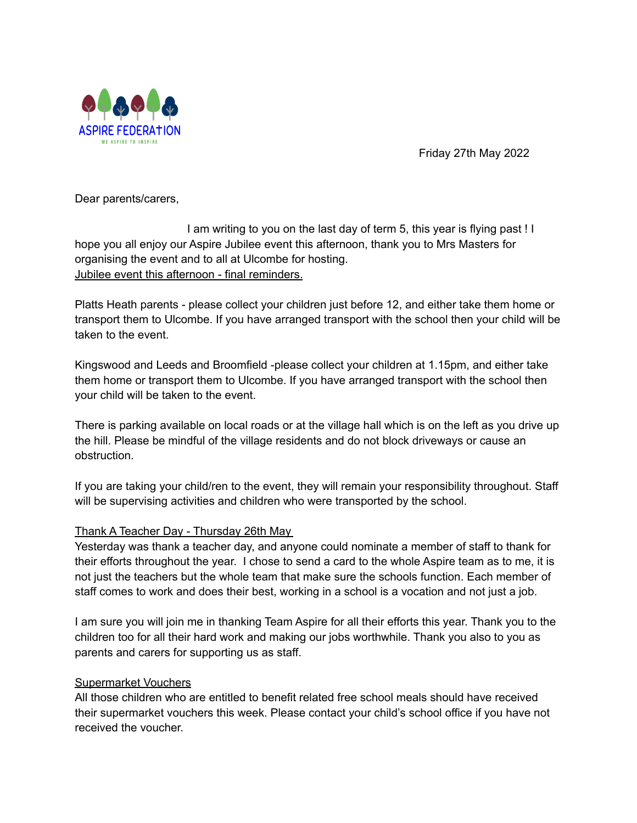

Friday 27th May 2022

Dear parents/carers,

I am writing to you on the last day of term 5, this year is flying past ! I hope you all enjoy our Aspire Jubilee event this afternoon, thank you to Mrs Masters for organising the event and to all at Ulcombe for hosting. Jubilee event this afternoon - final reminders.

Platts Heath parents - please collect your children just before 12, and either take them home or transport them to Ulcombe. If you have arranged transport with the school then your child will be taken to the event.

Kingswood and Leeds and Broomfield -please collect your children at 1.15pm, and either take them home or transport them to Ulcombe. If you have arranged transport with the school then your child will be taken to the event.

There is parking available on local roads or at the village hall which is on the left as you drive up the hill. Please be mindful of the village residents and do not block driveways or cause an obstruction.

If you are taking your child/ren to the event, they will remain your responsibility throughout. Staff will be supervising activities and children who were transported by the school.

# Thank A Teacher Day - Thursday 26th May

Yesterday was thank a teacher day, and anyone could nominate a member of staff to thank for their efforts throughout the year. I chose to send a card to the whole Aspire team as to me, it is not just the teachers but the whole team that make sure the schools function. Each member of staff comes to work and does their best, working in a school is a vocation and not just a job.

I am sure you will join me in thanking Team Aspire for all their efforts this year. Thank you to the children too for all their hard work and making our jobs worthwhile. Thank you also to you as parents and carers for supporting us as staff.

### Supermarket Vouchers

All those children who are entitled to benefit related free school meals should have received their supermarket vouchers this week. Please contact your child's school office if you have not received the voucher.